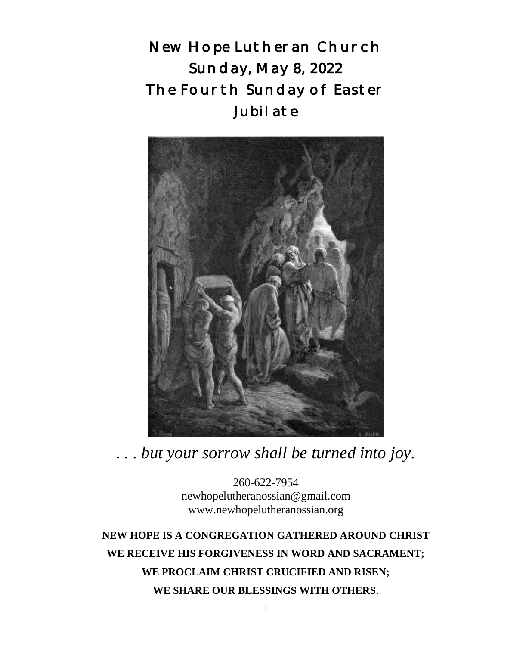New Hope Lutheran Church Sunday, May 8, 2022 The Fourth Sunday of Easter Jubilate



*. . . but your sorrow shall be turned into joy.*

260-622-7954 newhopelutheranossian@gmail.com www.newhopelutheranossian.org

**NEW HOPE IS A CONGREGATION GATHERED AROUND CHRIST WE RECEIVE HIS FORGIVENESS IN WORD AND SACRAMENT; WE PROCLAIM CHRIST CRUCIFIED AND RISEN; WE SHARE OUR BLESSINGS WITH OTHERS**.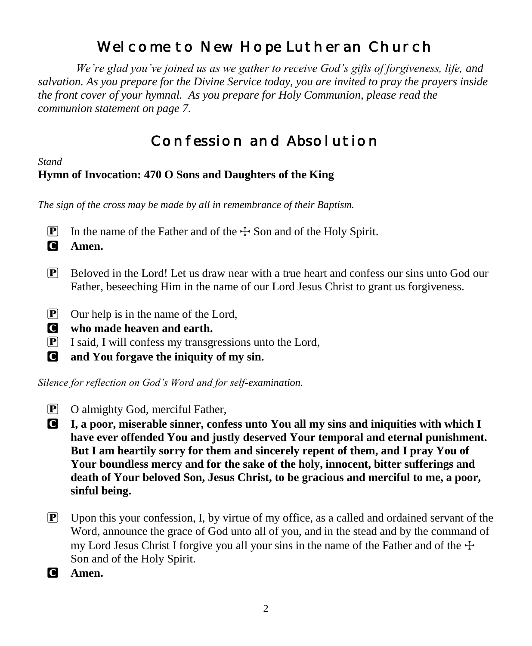# Welcome to New Hope Lutheran Church

 *We're glad you've joined us as we gather to receive God's gifts of forgiveness, life, and salvation. As you prepare for the Divine Service today, you are invited to pray the prayers inside the front cover of your hymnal. As you prepare for Holy Communion, please read the communion statement on page 7.*

# Confession and Absolution

*Stand*

# **Hymn of Invocation: 470 O Sons and Daughters of the King**

*The sign of the cross may be made by all in remembrance of their Baptism.*

**P** In the name of the Father and of the  $\pm$  Son and of the Holy Spirit.

C **Amen.**

- $\mathbb{P}$  Beloved in the Lord! Let us draw near with a true heart and confess our sins unto God our Father, beseeching Him in the name of our Lord Jesus Christ to grant us forgiveness.
- P Our help is in the name of the Lord,
- C **who made heaven and earth.**
- $\boxed{\mathbf{P}}$  I said, I will confess my transgressions unto the Lord,
- C **and You forgave the iniquity of my sin.**

*Silence for reflection on God's Word and for self-examination.*

- P O almighty God, merciful Father,
- C **I, a poor, miserable sinner, confess unto You all my sins and iniquities with which I have ever offended You and justly deserved Your temporal and eternal punishment. But I am heartily sorry for them and sincerely repent of them, and I pray You of Your boundless mercy and for the sake of the holy, innocent, bitter sufferings and death of Your beloved Son, Jesus Christ, to be gracious and merciful to me, a poor, sinful being.**
- $\mathbb{P}$  Upon this your confession, I, by virtue of my office, as a called and ordained servant of the Word, announce the grace of God unto all of you, and in the stead and by the command of my Lord Jesus Christ I forgive you all your sins in the name of the Father and of the  $\pm$ Son and of the Holy Spirit.
- C **Amen.**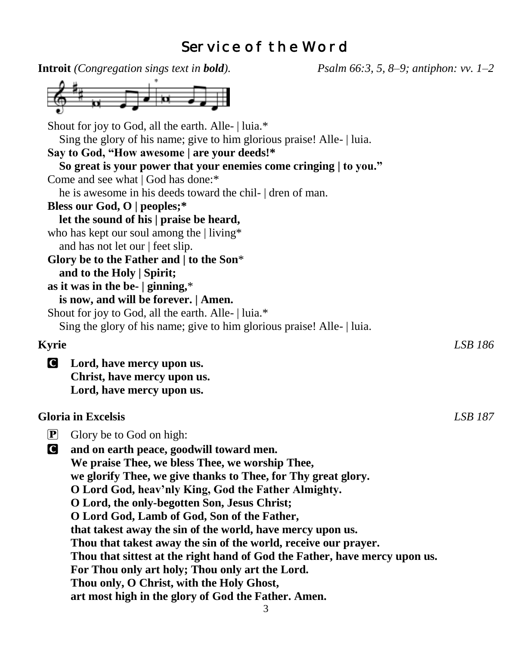# Service of the Word

| <b>Introit</b> (Congregation sings text in <b>bold</b> ).       |                                                                                                                               | <i>Psalm 66:3, 5, 8–9; antiphon: vv.</i> $1-2$                             |         |
|-----------------------------------------------------------------|-------------------------------------------------------------------------------------------------------------------------------|----------------------------------------------------------------------------|---------|
|                                                                 |                                                                                                                               |                                                                            |         |
|                                                                 | Shout for joy to God, all the earth. Alle-   luia.*<br>Sing the glory of his name; give to him glorious praise! Alle-   luia. |                                                                            |         |
|                                                                 | Say to God, "How awesome   are your deeds!*                                                                                   |                                                                            |         |
|                                                                 | So great is your power that your enemies come cringing   to you."                                                             |                                                                            |         |
| Come and see what   God has done:*                              |                                                                                                                               |                                                                            |         |
|                                                                 | he is awesome in his deeds toward the chil- dren of man.                                                                      |                                                                            |         |
| Bless our God, O   peoples;*                                    |                                                                                                                               |                                                                            |         |
|                                                                 | let the sound of his   praise be heard,                                                                                       |                                                                            |         |
| who has kept our soul among the   living*                       |                                                                                                                               |                                                                            |         |
| and has not let our   feet slip.                                |                                                                                                                               |                                                                            |         |
|                                                                 | Glory be to the Father and   to the Son*                                                                                      |                                                                            |         |
| and to the Holy   Spirit;<br>as it was in the be- $ $ ginning,* |                                                                                                                               |                                                                            |         |
|                                                                 | is now, and will be forever.   Amen.                                                                                          |                                                                            |         |
|                                                                 | Shout for joy to God, all the earth. Alle-   luia.*                                                                           |                                                                            |         |
|                                                                 | Sing the glory of his name; give to him glorious praise! Alle-   luia.                                                        |                                                                            |         |
|                                                                 |                                                                                                                               |                                                                            |         |
| <b>Kyrie</b>                                                    |                                                                                                                               |                                                                            | LSB 186 |
| <b>C</b> Lord, have mercy upon us.                              |                                                                                                                               |                                                                            |         |
| Christ, have mercy upon us.                                     |                                                                                                                               |                                                                            |         |
| Lord, have mercy upon us.                                       |                                                                                                                               |                                                                            |         |
| <b>Gloria</b> in Excelsis                                       |                                                                                                                               |                                                                            | LSB 187 |
| $\boxed{\mathbf{P}}$<br>Glory be to God on high:                |                                                                                                                               |                                                                            |         |
| C                                                               | and on earth peace, goodwill toward men.                                                                                      |                                                                            |         |
|                                                                 | We praise Thee, we bless Thee, we worship Thee,                                                                               |                                                                            |         |
|                                                                 | we glorify Thee, we give thanks to Thee, for Thy great glory.                                                                 |                                                                            |         |
|                                                                 | O Lord God, heav'nly King, God the Father Almighty.                                                                           |                                                                            |         |
|                                                                 | O Lord, the only-begotten Son, Jesus Christ;                                                                                  |                                                                            |         |
|                                                                 | O Lord God, Lamb of God, Son of the Father,                                                                                   |                                                                            |         |
|                                                                 | that takest away the sin of the world, have mercy upon us.                                                                    |                                                                            |         |
|                                                                 | Thou that takest away the sin of the world, receive our prayer.                                                               |                                                                            |         |
|                                                                 |                                                                                                                               | Thou that sittest at the right hand of God the Father, have mercy upon us. |         |
|                                                                 | For Thou only art holy; Thou only art the Lord.                                                                               |                                                                            |         |
|                                                                 | Thou only, O Christ, with the Holy Ghost,                                                                                     |                                                                            |         |
|                                                                 | art most high in the glory of God the Father. Amen.                                                                           |                                                                            |         |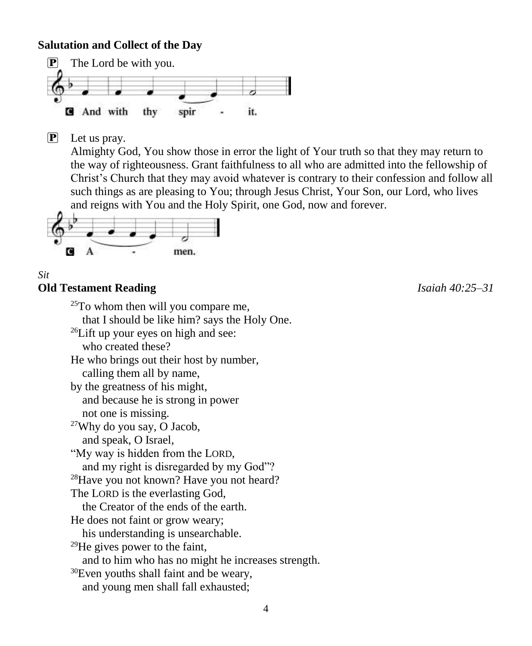### **Salutation and Collect of the Day**



P Let us pray.

Almighty God, You show those in error the light of Your truth so that they may return to the way of righteousness. Grant faithfulness to all who are admitted into the fellowship of Christ's Church that they may avoid whatever is contrary to their confession and follow all such things as are pleasing to You; through Jesus Christ, Your Son, our Lord, who lives and reigns with You and the Holy Spirit, one God, now and forever.



#### *Sit* **Old Testament Reading** *Isaiah 40:25–31*

 $25T<sub>O</sub>$  whom then will you compare me, that I should be like him? says the Holy One. <sup>26</sup>Lift up your eyes on high and see: who created these? He who brings out their host by number, calling them all by name, by the greatness of his might, and because he is strong in power not one is missing. <sup>27</sup>Why do you say, O Jacob, and speak, O Israel, "My way is hidden from the LORD, and my right is disregarded by my God"? <sup>28</sup>Have you not known? Have you not heard? The LORD is the everlasting God, the Creator of the ends of the earth. He does not faint or grow weary; his understanding is unsearchable. <sup>29</sup>He gives power to the faint, and to him who has no might he increases strength. <sup>30</sup>Even youths shall faint and be weary, and young men shall fall exhausted;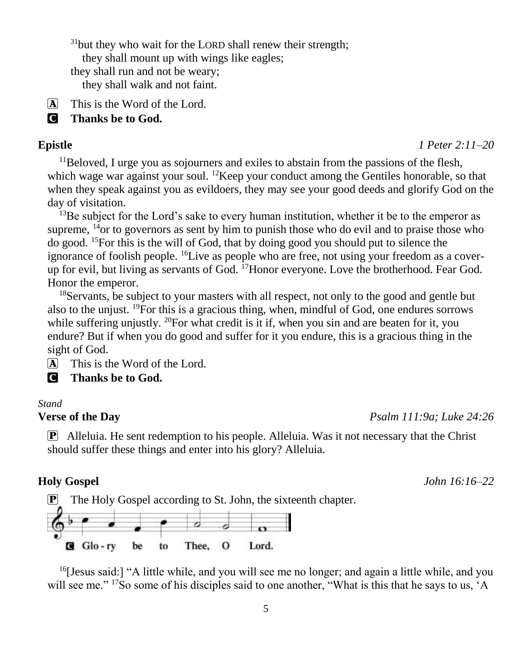$31$ but they who wait for the LORD shall renew their strength; they shall mount up with wings like eagles; they shall run and not be weary; they shall walk and not faint.

A This is the Word of the Lord.

C **Thanks be to God.**

#### **Epistle** *1 Peter 2:11–20*

 $11$ Beloved, I urge you as sojourners and exiles to abstain from the passions of the flesh, which wage war against your soul.  $12$ Keep your conduct among the Gentiles honorable, so that when they speak against you as evildoers, they may see your good deeds and glorify God on the day of visitation.

 $^{13}$ Be subject for the Lord's sake to every human institution, whether it be to the emperor as supreme,  $^{14}$ or to governors as sent by him to punish those who do evil and to praise those who do good. <sup>15</sup>For this is the will of God, that by doing good you should put to silence the ignorance of foolish people.  ${}^{16}$ Live as people who are free, not using your freedom as a coverup for evil, but living as servants of God. <sup>17</sup>Honor everyone. Love the brotherhood. Fear God. Honor the emperor.

<sup>18</sup>Servants, be subject to your masters with all respect, not only to the good and gentle but also to the unjust. <sup>19</sup>For this is a gracious thing, when, mindful of God, one endures sorrows while suffering unjustly.  $^{20}$  For what credit is it if, when you sin and are beaten for it, you endure? But if when you do good and suffer for it you endure, this is a gracious thing in the sight of God.

 $\overline{A}$  This is the Word of the Lord.

C **Thanks be to God.**

#### *Stand*

**Verse of the Day** *Psalm 111:9a; Luke 24:26*

P Alleluia. He sent redemption to his people. Alleluia. Was it not necessary that the Christ should suffer these things and enter into his glory? Alleluia.

#### **Holy Gospel** *John 16:16–22*



 $<sup>16</sup>$ [Jesus said:] "A little while, and you will see me no longer; and again a little while, and you</sup> will see me." <sup>17</sup>So some of his disciples said to one another, "What is this that he says to us, 'A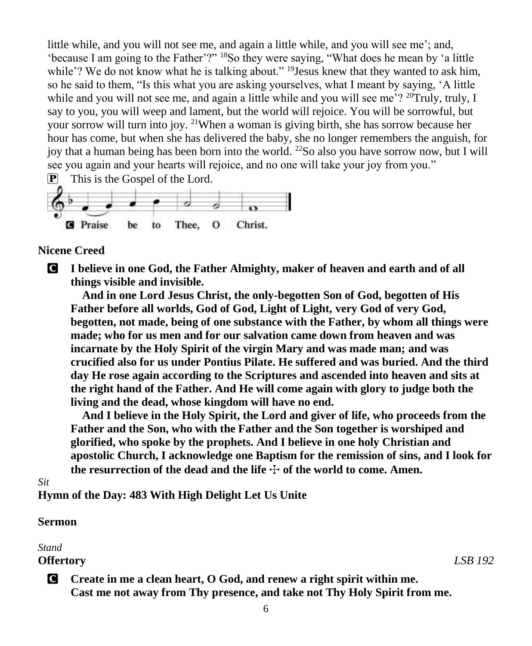little while, and you will not see me, and again a little while, and you will see me'; and, 'because I am going to the Father'?" <sup>18</sup>So they were saying, "What does he mean by 'a little while'? We do not know what he is talking about." <sup>19</sup>Jesus knew that they wanted to ask him, so he said to them, "Is this what you are asking yourselves, what I meant by saying, 'A little while and you will not see me, and again a little while and you will see me'? <sup>20</sup>Truly, truly, I say to you, you will weep and lament, but the world will rejoice. You will be sorrowful, but your sorrow will turn into joy. <sup>21</sup>When a woman is giving birth, she has sorrow because her hour has come, but when she has delivered the baby, she no longer remembers the anguish, for joy that a human being has been born into the world. <sup>22</sup>So also you have sorrow now, but I will see you again and your hearts will rejoice, and no one will take your joy from you."



#### **Nicene Creed**

C **I believe in one God, the Father Almighty, maker of heaven and earth and of all things visible and invisible.**

**And in one Lord Jesus Christ, the only-begotten Son of God, begotten of His Father before all worlds, God of God, Light of Light, very God of very God, begotten, not made, being of one substance with the Father, by whom all things were made; who for us men and for our salvation came down from heaven and was incarnate by the Holy Spirit of the virgin Mary and was made man; and was crucified also for us under Pontius Pilate. He suffered and was buried. And the third day He rose again according to the Scriptures and ascended into heaven and sits at the right hand of the Father. And He will come again with glory to judge both the living and the dead, whose kingdom will have no end.**

**And I believe in the Holy Spirit, the Lord and giver of life, who proceeds from the Father and the Son, who with the Father and the Son together is worshiped and glorified, who spoke by the prophets. And I believe in one holy Christian and apostolic Church, I acknowledge one Baptism for the remission of sins, and I look for**  the resurrection of the dead and the life  $\pm$  of the world to come. Amen.

### *Sit*

**Hymn of the Day: 483 With High Delight Let Us Unite**

### **Sermon**

### *Stand*

## **Offertory** *LSB 192*

C **Create in me a clean heart, O God, and renew a right spirit within me. Cast me not away from Thy presence, and take not Thy Holy Spirit from me.**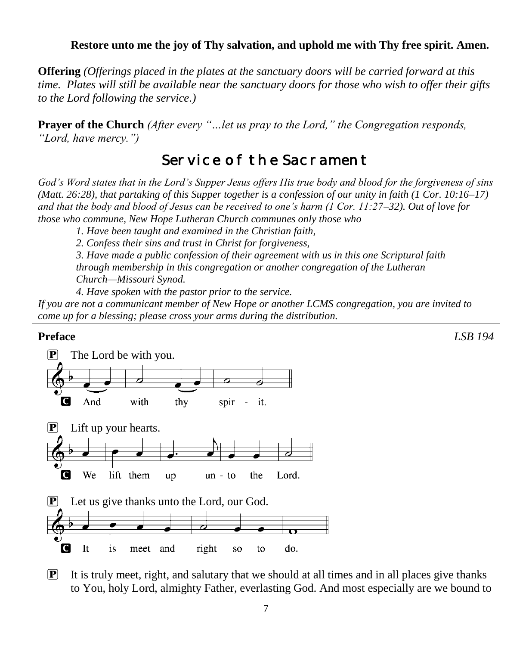### **Restore unto me the joy of Thy salvation, and uphold me with Thy free spirit. Amen.**

**Offering** *(Offerings placed in the plates at the sanctuary doors will be carried forward at this time. Plates will still be available near the sanctuary doors for those who wish to offer their gifts to the Lord following the service.)*

**Prayer of the Church** *(After every "…let us pray to the Lord," the Congregation responds, "Lord, have mercy.")*

# Service of the Sacrament

*God's Word states that in the Lord's Supper Jesus offers His true body and blood for the forgiveness of sins (Matt. 26:28), that partaking of this Supper together is a confession of our unity in faith (1 Cor. 10:16–17) and that the body and blood of Jesus can be received to one's harm (1 Cor. 11:27–32). Out of love for those who commune, New Hope Lutheran Church communes only those who*

*1. Have been taught and examined in the Christian faith,* 

*2. Confess their sins and trust in Christ for forgiveness,* 

*3. Have made a public confession of their agreement with us in this one Scriptural faith through membership in this congregation or another congregation of the Lutheran Church—Missouri Synod.* 

*4. Have spoken with the pastor prior to the service.*

*If you are not a communicant member of New Hope or another LCMS congregation, you are invited to come up for a blessing; please cross your arms during the distribution.*

#### **Preface** *LSB 194*



 $\mathbf{P}$  It is truly meet, right, and salutary that we should at all times and in all places give thanks to You, holy Lord, almighty Father, everlasting God. And most especially are we bound to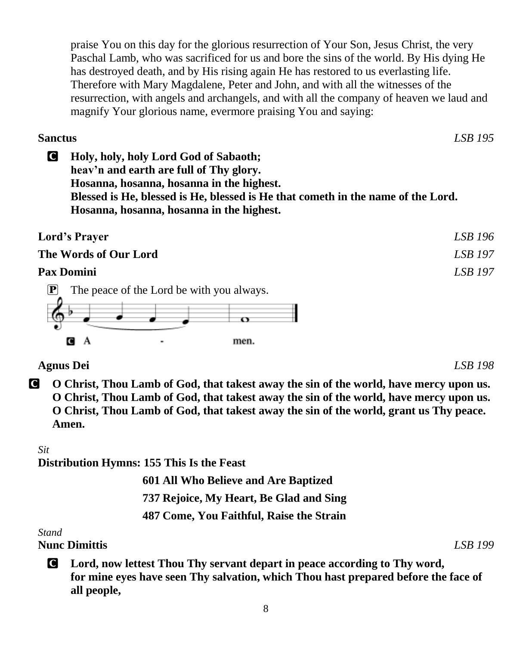praise You on this day for the glorious resurrection of Your Son, Jesus Christ, the very Paschal Lamb, who was sacrificed for us and bore the sins of the world. By His dying He has destroyed death, and by His rising again He has restored to us everlasting life. Therefore with Mary Magdalene, Peter and John, and with all the witnesses of the resurrection, with angels and archangels, and with all the company of heaven we laud and magnify Your glorious name, evermore praising You and saying:

**Sanctus** *LSB 195*

C **Holy, holy, holy Lord God of Sabaoth; heav'n and earth are full of Thy glory. Hosanna, hosanna, hosanna in the highest. Blessed is He, blessed is He, blessed is He that cometh in the name of the Lord. Hosanna, hosanna, hosanna in the highest.**

| <b>Lord's Prayer</b>  |                                           | LSB 196        |
|-----------------------|-------------------------------------------|----------------|
| The Words of Our Lord |                                           | <b>LSB</b> 197 |
| <b>Pax Domini</b>     |                                           | <b>LSB</b> 197 |
|                       | The peace of the Lord be with you always. |                |



**Agnus Dei** *LSB 198*

C **O Christ, Thou Lamb of God, that takest away the sin of the world, have mercy upon us. O Christ, Thou Lamb of God, that takest away the sin of the world, have mercy upon us. O Christ, Thou Lamb of God, that takest away the sin of the world, grant us Thy peace. Amen.**

## *Sit*

**Distribution Hymns: 155 This Is the Feast**

 **601 All Who Believe and Are Baptized 737 Rejoice, My Heart, Be Glad and Sing**

**487 Come, You Faithful, Raise the Strain**

*Stand*

**Nunc Dimittis** *LSB 199*

C **Lord, now lettest Thou Thy servant depart in peace according to Thy word, for mine eyes have seen Thy salvation, which Thou hast prepared before the face of all people,**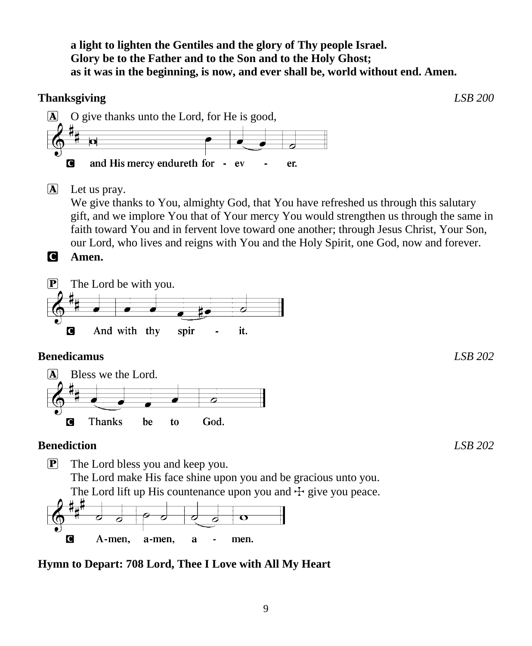**a light to lighten the Gentiles and the glory of Thy people Israel. Glory be to the Father and to the Son and to the Holy Ghost; as it was in the beginning, is now, and ever shall be, world without end. Amen.**

## **Thanksgiving** *LSB 200*



 $\overline{A}$  Let us pray.

We give thanks to You, almighty God, that You have refreshed us through this salutary gift, and we implore You that of Your mercy You would strengthen us through the same in faith toward You and in fervent love toward one another; through Jesus Christ, Your Son, our Lord, who lives and reigns with You and the Holy Spirit, one God, now and forever.

C **Amen.**



## **Benedicamus** *LSB 202*



# **Benediction** *LSB 202*

P The Lord bless you and keep you. The Lord make His face shine upon you and be gracious unto you. The Lord lift up His countenance upon you and  $\pm$  give you peace.<br> $\sharp_{\mu}$ 



# **Hymn to Depart: 708 Lord, Thee I Love with All My Heart**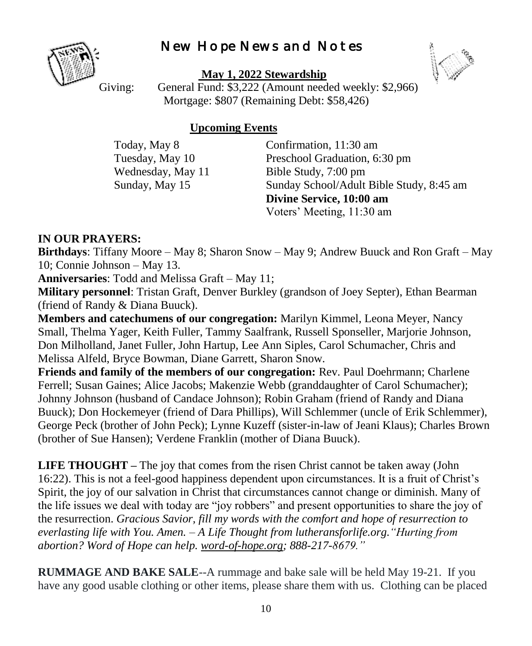# New Hope News and Notes



**May 1, 2022 Stewardship**



Giving: General Fund: \$3,222 (Amount needed weekly: \$2,966) Mortgage: \$807 (Remaining Debt: \$58,426)

### **Upcoming Events**

Today, May 8 Confirmation, 11:30 am Tuesday, May 10 Preschool Graduation, 6:30 pm Wednesday, May 11 Bible Study, 7:00 pm Sunday, May 15 Sunday School/Adult Bible Study, 8:45 am **Divine Service, 10:00 am** Voters' Meeting, 11:30 am

## **IN OUR PRAYERS:**

**Birthdays**: Tiffany Moore – May 8; Sharon Snow – May 9; Andrew Buuck and Ron Graft – May 10; Connie Johnson – May 13.

**Anniversaries**: Todd and Melissa Graft – May 11;

**Military personnel**: Tristan Graft, Denver Burkley (grandson of Joey Septer), Ethan Bearman (friend of Randy & Diana Buuck).

**Members and catechumens of our congregation:** Marilyn Kimmel, Leona Meyer, Nancy Small, Thelma Yager, Keith Fuller, Tammy Saalfrank, Russell Sponseller, Marjorie Johnson, Don Milholland, Janet Fuller, John Hartup, Lee Ann Siples, Carol Schumacher, Chris and Melissa Alfeld, Bryce Bowman, Diane Garrett, Sharon Snow.

**Friends and family of the members of our congregation:** Rev. Paul Doehrmann; Charlene Ferrell; Susan Gaines; Alice Jacobs; Makenzie Webb (granddaughter of Carol Schumacher); Johnny Johnson (husband of Candace Johnson); Robin Graham (friend of Randy and Diana Buuck); Don Hockemeyer (friend of Dara Phillips), Will Schlemmer (uncle of Erik Schlemmer), George Peck (brother of John Peck); Lynne Kuzeff (sister-in-law of Jeani Klaus); Charles Brown (brother of Sue Hansen); Verdene Franklin (mother of Diana Buuck).

**LIFE THOUGHT –** The joy that comes from the risen Christ cannot be taken away (John 16:22). This is not a feel-good happiness dependent upon circumstances. It is a fruit of Christ's Spirit, the joy of our salvation in Christ that circumstances cannot change or diminish. Many of the life issues we deal with today are "joy robbers" and present opportunities to share the joy of the resurrection. *Gracious Savior, fill my words with the comfort and hope of resurrection to everlasting life with You. Amen. – A Life Thought from lutheransforlife.org."Hurting from abortion? Word of Hope can help. [word-of-hope.org;](https://word-of-hope.org/) 888-217-8679."*

**RUMMAGE AND BAKE SALE**--A rummage and bake sale will be held May 19-21. If you have any good usable clothing or other items, please share them with us. Clothing can be placed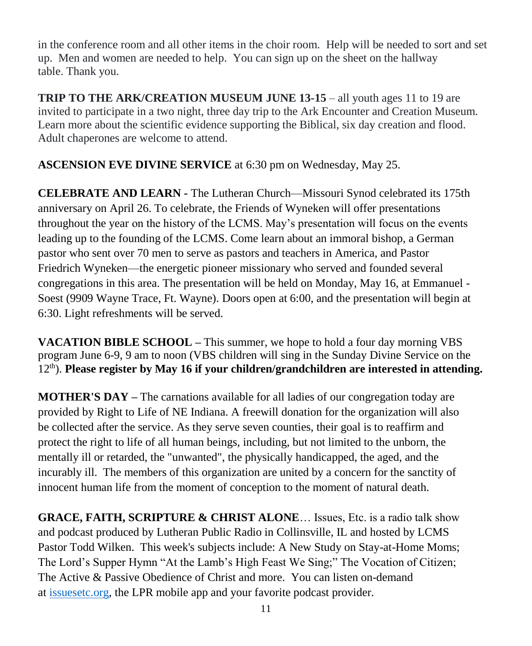in the conference room and all other items in the choir room. Help will be needed to sort and set up. Men and women are needed to help. You can sign up on the sheet on the hallway table. Thank you.

**TRIP TO THE ARK/CREATION MUSEUM JUNE 13-15** – all youth ages 11 to 19 are invited to participate in a two night, three day trip to the Ark Encounter and Creation Museum. Learn more about the scientific evidence supporting the Biblical, six day creation and flood. Adult chaperones are welcome to attend.

**ASCENSION EVE DIVINE SERVICE** at 6:30 pm on Wednesday, May 25.

**CELEBRATE AND LEARN -** The Lutheran Church—Missouri Synod celebrated its 175th anniversary on April 26. To celebrate, the Friends of Wyneken will offer presentations throughout the year on the history of the LCMS. May's presentation will focus on the events leading up to the founding of the LCMS. Come learn about an immoral bishop, a German pastor who sent over 70 men to serve as pastors and teachers in America, and Pastor Friedrich Wyneken—the energetic pioneer missionary who served and founded several congregations in this area. The presentation will be held on Monday, May 16, at Emmanuel - Soest (9909 Wayne Trace, Ft. Wayne). Doors open at 6:00, and the presentation will begin at 6:30. Light refreshments will be served.

**VACATION BIBLE SCHOOL –** This summer, we hope to hold a four day morning VBS program June 6-9, 9 am to noon (VBS children will sing in the Sunday Divine Service on the 12th). **Please register by May 16 if your children/grandchildren are interested in attending.**

**MOTHER'S DAY –** The carnations available for all ladies of our congregation today are provided by Right to Life of NE Indiana. A freewill donation for the organization will also be collected after the service. As they serve seven counties, their goal is to reaffirm and protect the right to life of all human beings, including, but not limited to the unborn, the mentally ill or retarded, the "unwanted", the physically handicapped, the aged, and the incurably ill. The members of this organization are united by a concern for the sanctity of innocent human life from the moment of conception to the moment of natural death.

**GRACE, FAITH, SCRIPTURE & CHRIST ALONE**… Issues, Etc. is a radio talk show and podcast produced by Lutheran Public Radio in Collinsville, IL and hosted by LCMS Pastor Todd Wilken. This week's subjects include: A New Study on Stay-at-Home Moms; The Lord's Supper Hymn "At the Lamb's High Feast We Sing;" The Vocation of Citizen; The Active & Passive Obedience of Christ and more. You can listen on-demand at [issuesetc.org,](https://r20.rs6.net/tn.jsp?f=001ihKvgEtH92m2UVkPu_g6s0zAXkuRM7oC1wCv4NVKH0LYIpuzI_tsT_QK9NsO1OveQ6sH-5fGgN4Dhfo9JhIDnW2u-3UHTqaSJ4hxudZ6-yWsLor6KofucvhPUm89atgo4VacEmy8GmUnc3at3BE1eg==&c=SnjMzFVtAbcKOvcsEZlQY-K8z7Ej_B9_DGNWJC6k-qQx3oB5STboVA==&ch=t-XyoRVy_Ch3w0V-bK3ziFUF_FHE_Ub8Jp_ByDaeuL3CUmrXovPM8g==) the LPR mobile app and your favorite podcast provider.